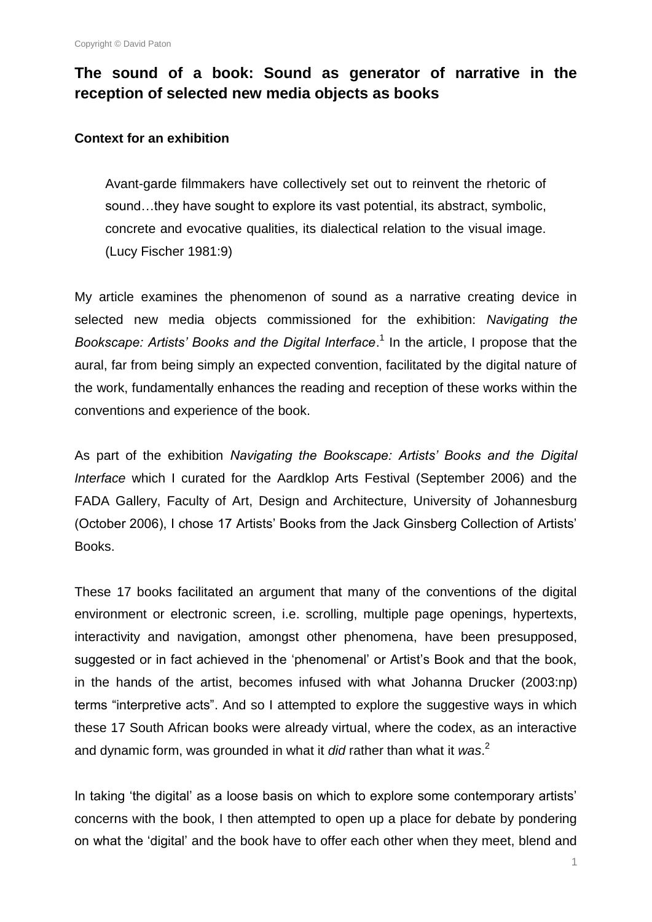# **The sound of a book: Sound as generator of narrative in the reception of selected new media objects as books**

#### **Context for an exhibition**

Avant-garde filmmakers have collectively set out to reinvent the rhetoric of sound…they have sought to explore its vast potential, its abstract, symbolic, concrete and evocative qualities, its dialectical relation to the visual image. (Lucy Fischer 1981:9)

My article examines the phenomenon of sound as a narrative creating device in selected new media objects commissioned for the exhibition: *Navigating the*  Bookscape: Artists' Books and the Digital Interface.<sup>1</sup> In the article, I propose that the aural, far from being simply an expected convention, facilitated by the digital nature of the work, fundamentally enhances the reading and reception of these works within the conventions and experience of the book.

As part of the exhibition *Navigating the Bookscape: Artists' Books and the Digital Interface* which I curated for the Aardklop Arts Festival (September 2006) and the FADA Gallery, Faculty of Art, Design and Architecture, University of Johannesburg (October 2006), I chose 17 Artists" Books from the Jack Ginsberg Collection of Artists" Books.

These 17 books facilitated an argument that many of the conventions of the digital environment or electronic screen, i.e. scrolling, multiple page openings, hypertexts, interactivity and navigation, amongst other phenomena, have been presupposed, suggested or in fact achieved in the 'phenomenal' or Artist's Book and that the book, in the hands of the artist, becomes infused with what Johanna Drucker (2003:np) terms "interpretive acts". And so I attempted to explore the suggestive ways in which these 17 South African books were already virtual, where the codex, as an interactive and dynamic form, was grounded in what it *did* rather than what it *was*. 2

In taking 'the digital' as a loose basis on which to explore some contemporary artists' concerns with the book, I then attempted to open up a place for debate by pondering on what the "digital" and the book have to offer each other when they meet, blend and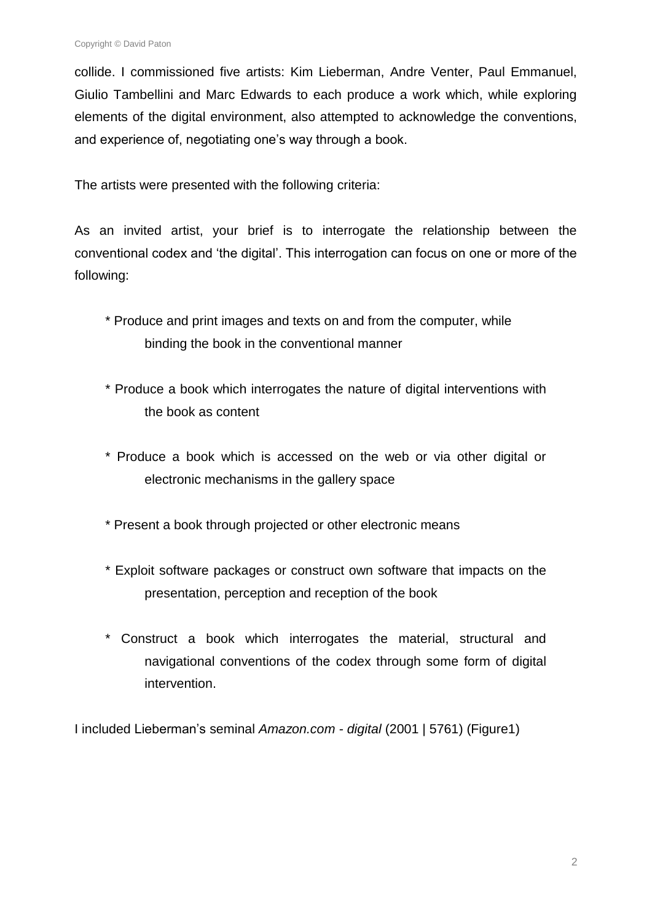collide. I commissioned five artists: Kim Lieberman, Andre Venter, Paul Emmanuel, Giulio Tambellini and Marc Edwards to each produce a work which, while exploring elements of the digital environment, also attempted to acknowledge the conventions, and experience of, negotiating one's way through a book.

The artists were presented with the following criteria:

As an invited artist, your brief is to interrogate the relationship between the conventional codex and "the digital". This interrogation can focus on one or more of the following:

- \* Produce and print images and texts on and from the computer, while binding the book in the conventional manner
- \* Produce a book which interrogates the nature of digital interventions with the book as content
- \* Produce a book which is accessed on the web or via other digital or electronic mechanisms in the gallery space
- \* Present a book through projected or other electronic means
- \* Exploit software packages or construct own software that impacts on the presentation, perception and reception of the book
- \* Construct a book which interrogates the material, structural and navigational conventions of the codex through some form of digital intervention.

I included Lieberman"s seminal *Amazon.com - digital* (2001 | 5761) (Figure1)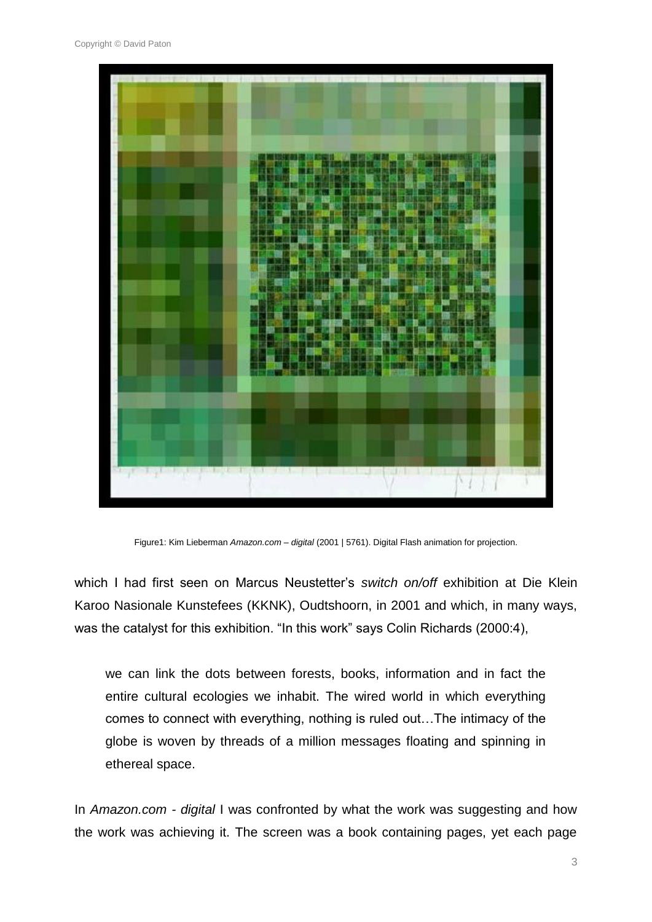

Figure1: Kim Lieberman *Amazon.com – digital* (2001 | 5761). Digital Flash animation for projection.

which I had first seen on Marcus Neustetter"s *switch on/off* exhibition at Die Klein Karoo Nasionale Kunstefees (KKNK), Oudtshoorn, in 2001 and which, in many ways, was the catalyst for this exhibition. "In this work" says Colin Richards (2000:4),

we can link the dots between forests, books, information and in fact the entire cultural ecologies we inhabit. The wired world in which everything comes to connect with everything, nothing is ruled out…The intimacy of the globe is woven by threads of a million messages floating and spinning in ethereal space.

In *Amazon.com - digital* I was confronted by what the work was suggesting and how the work was achieving it. The screen was a book containing pages, yet each page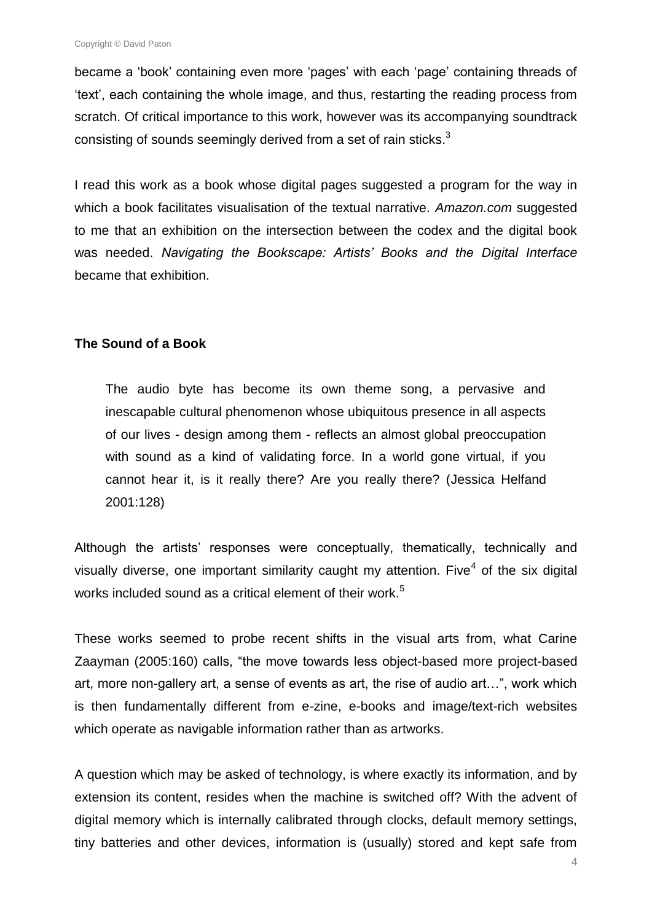became a 'book' containing even more 'pages' with each 'page' containing threads of "text", each containing the whole image, and thus, restarting the reading process from scratch. Of critical importance to this work, however was its accompanying soundtrack consisting of sounds seemingly derived from a set of rain sticks. $3$ 

I read this work as a book whose digital pages suggested a program for the way in which a book facilitates visualisation of the textual narrative. *Amazon.com* suggested to me that an exhibition on the intersection between the codex and the digital book was needed. *Navigating the Bookscape: Artists' Books and the Digital Interface*  became that exhibition.

### **The Sound of a Book**

The audio byte has become its own theme song, a pervasive and inescapable cultural phenomenon whose ubiquitous presence in all aspects of our lives - design among them - reflects an almost global preoccupation with sound as a kind of validating force. In a world gone virtual, if you cannot hear it, is it really there? Are you really there? (Jessica Helfand 2001:128)

Although the artists' responses were conceptually, thematically, technically and visually diverse, one important similarity caught my attention. Five<sup>4</sup> of the six digital works included sound as a critical element of their work.<sup>5</sup>

These works seemed to probe recent shifts in the visual arts from, what Carine Zaayman (2005:160) calls, "the move towards less object-based more project-based art, more non-gallery art, a sense of events as art, the rise of audio art…", work which is then fundamentally different from e-zine, e-books and image/text-rich websites which operate as navigable information rather than as artworks.

A question which may be asked of technology, is where exactly its information, and by extension its content, resides when the machine is switched off? With the advent of digital memory which is internally calibrated through clocks, default memory settings, tiny batteries and other devices, information is (usually) stored and kept safe from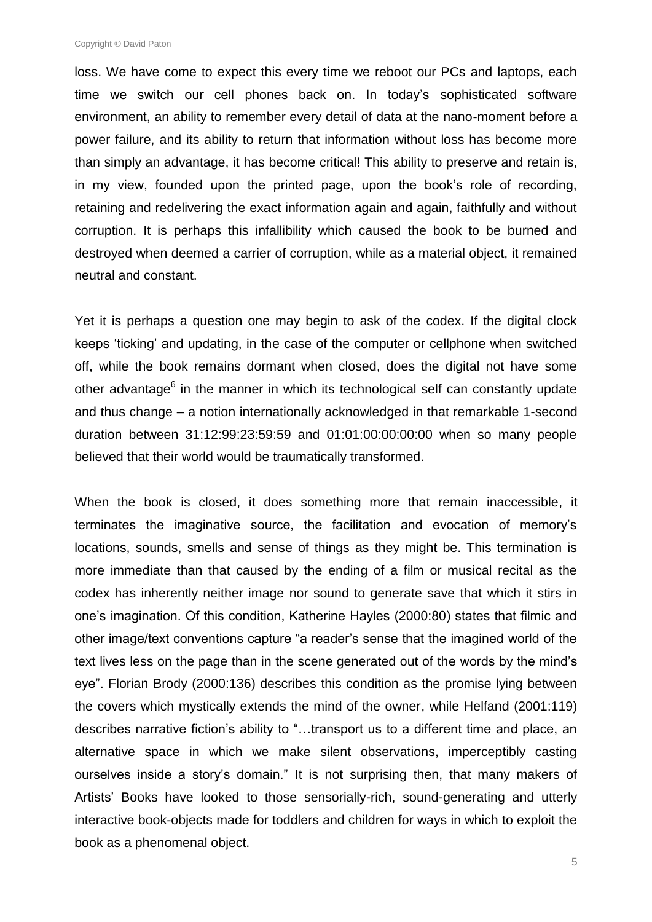Copyright © David Paton

loss. We have come to expect this every time we reboot our PCs and laptops, each time we switch our cell phones back on. In today"s sophisticated software environment, an ability to remember every detail of data at the nano-moment before a power failure, and its ability to return that information without loss has become more than simply an advantage, it has become critical! This ability to preserve and retain is, in my view, founded upon the printed page, upon the book"s role of recording, retaining and redelivering the exact information again and again, faithfully and without corruption. It is perhaps this infallibility which caused the book to be burned and destroyed when deemed a carrier of corruption, while as a material object, it remained neutral and constant.

Yet it is perhaps a question one may begin to ask of the codex. If the digital clock keeps "ticking" and updating, in the case of the computer or cellphone when switched off, while the book remains dormant when closed, does the digital not have some other advantage<sup>6</sup> in the manner in which its technological self can constantly update and thus change – a notion internationally acknowledged in that remarkable 1-second duration between 31:12:99:23:59:59 and 01:01:00:00:00:00 when so many people believed that their world would be traumatically transformed.

When the book is closed, it does something more that remain inaccessible, it terminates the imaginative source, the facilitation and evocation of memory"s locations, sounds, smells and sense of things as they might be. This termination is more immediate than that caused by the ending of a film or musical recital as the codex has inherently neither image nor sound to generate save that which it stirs in one"s imagination. Of this condition, Katherine Hayles (2000:80) states that filmic and other image/text conventions capture "a reader"s sense that the imagined world of the text lives less on the page than in the scene generated out of the words by the mind"s eye". Florian Brody (2000:136) describes this condition as the promise lying between the covers which mystically extends the mind of the owner, while Helfand (2001:119) describes narrative fiction"s ability to "…transport us to a different time and place, an alternative space in which we make silent observations, imperceptibly casting ourselves inside a story's domain." It is not surprising then, that many makers of Artists" Books have looked to those sensorially-rich, sound-generating and utterly interactive book-objects made for toddlers and children for ways in which to exploit the book as a phenomenal object.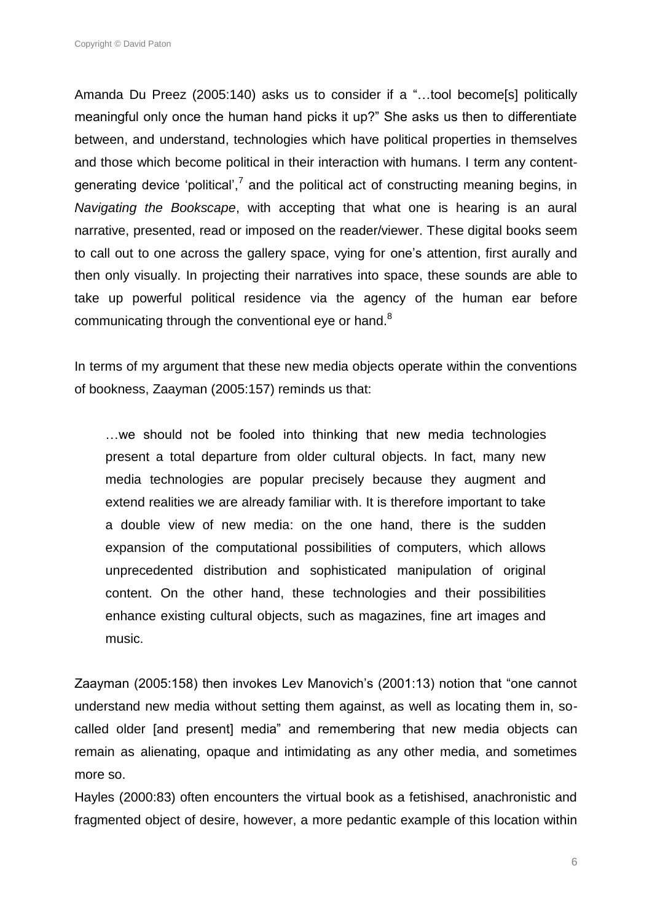Copyright © David Paton

Amanda Du Preez (2005:140) asks us to consider if a "…tool become[s] politically meaningful only once the human hand picks it up?" She asks us then to differentiate between, and understand, technologies which have political properties in themselves and those which become political in their interaction with humans. I term any contentgenerating device 'political',<sup>7</sup> and the political act of constructing meaning begins, in *Navigating the Bookscape*, with accepting that what one is hearing is an aural narrative, presented, read or imposed on the reader/viewer. These digital books seem to call out to one across the gallery space, vying for one"s attention, first aurally and then only visually. In projecting their narratives into space, these sounds are able to take up powerful political residence via the agency of the human ear before communicating through the conventional eye or hand.<sup>8</sup>

In terms of my argument that these new media objects operate within the conventions of bookness, Zaayman (2005:157) reminds us that:

…we should not be fooled into thinking that new media technologies present a total departure from older cultural objects. In fact, many new media technologies are popular precisely because they augment and extend realities we are already familiar with. It is therefore important to take a double view of new media: on the one hand, there is the sudden expansion of the computational possibilities of computers, which allows unprecedented distribution and sophisticated manipulation of original content. On the other hand, these technologies and their possibilities enhance existing cultural objects, such as magazines, fine art images and music.

Zaayman (2005:158) then invokes Lev Manovich's (2001:13) notion that "one cannot understand new media without setting them against, as well as locating them in, socalled older [and present] media" and remembering that new media objects can remain as alienating, opaque and intimidating as any other media, and sometimes more so.

Hayles (2000:83) often encounters the virtual book as a fetishised, anachronistic and fragmented object of desire, however, a more pedantic example of this location within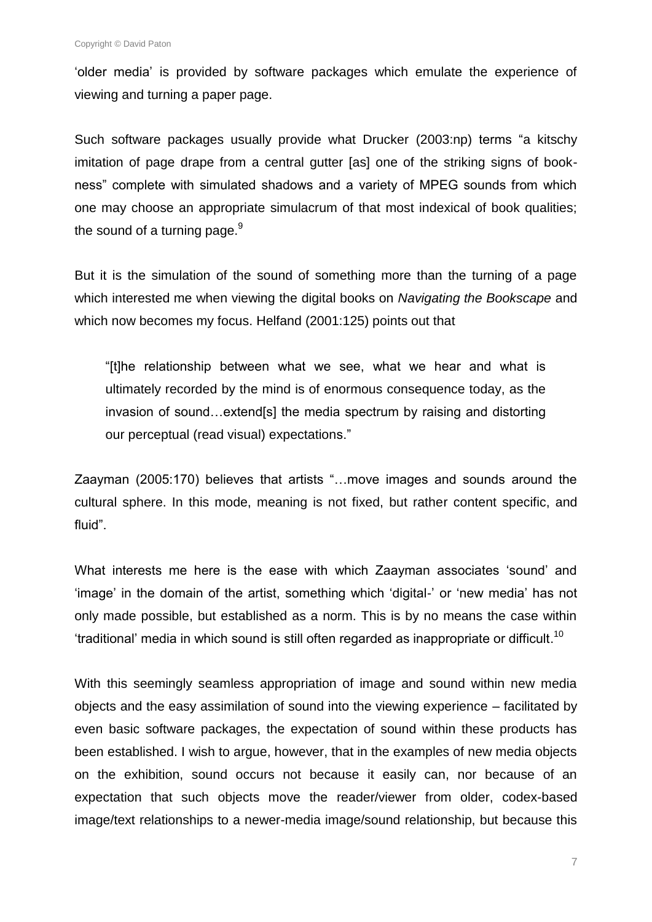"older media" is provided by software packages which emulate the experience of viewing and turning a paper page.

Such software packages usually provide what Drucker (2003:np) terms "a kitschy imitation of page drape from a central gutter [as] one of the striking signs of bookness" complete with simulated shadows and a variety of MPEG sounds from which one may choose an appropriate simulacrum of that most indexical of book qualities; the sound of a turning page. $9$ 

But it is the simulation of the sound of something more than the turning of a page which interested me when viewing the digital books on *Navigating the Bookscape* and which now becomes my focus. Helfand (2001:125) points out that

"[t]he relationship between what we see, what we hear and what is ultimately recorded by the mind is of enormous consequence today, as the invasion of sound…extend[s] the media spectrum by raising and distorting our perceptual (read visual) expectations."

Zaayman (2005:170) believes that artists "…move images and sounds around the cultural sphere. In this mode, meaning is not fixed, but rather content specific, and fluid".

What interests me here is the ease with which Zaayman associates "sound" and "image" in the domain of the artist, something which "digital-" or "new media" has not only made possible, but established as a norm. This is by no means the case within 'traditional' media in which sound is still often regarded as inappropriate or difficult.<sup>10</sup>

With this seemingly seamless appropriation of image and sound within new media objects and the easy assimilation of sound into the viewing experience – facilitated by even basic software packages, the expectation of sound within these products has been established. I wish to argue, however, that in the examples of new media objects on the exhibition, sound occurs not because it easily can, nor because of an expectation that such objects move the reader/viewer from older, codex-based image/text relationships to a newer-media image/sound relationship, but because this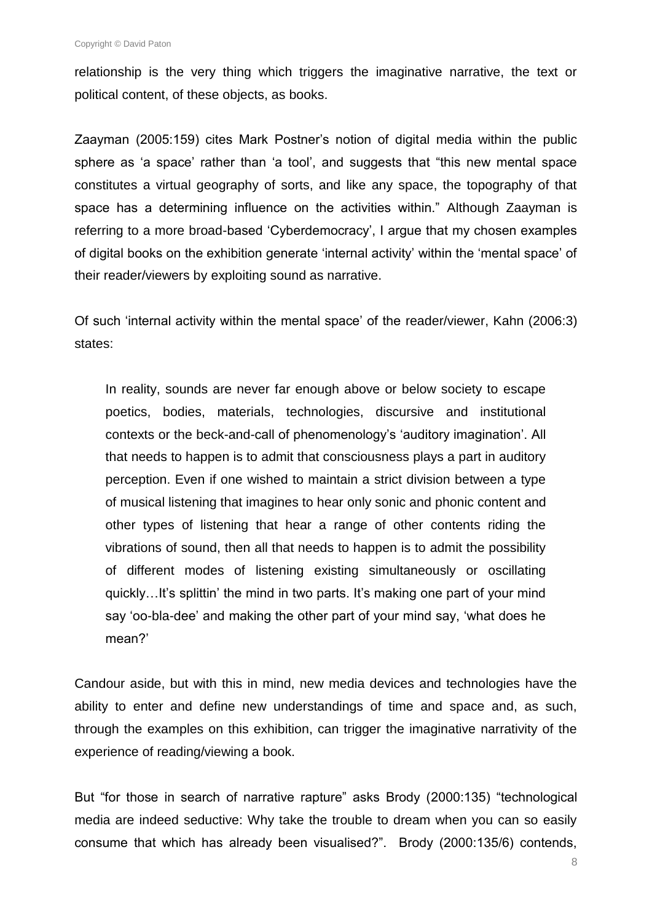relationship is the very thing which triggers the imaginative narrative, the text or political content, of these objects, as books.

Zaayman (2005:159) cites Mark Postner"s notion of digital media within the public sphere as "a space" rather than "a tool", and suggests that "this new mental space constitutes a virtual geography of sorts, and like any space, the topography of that space has a determining influence on the activities within." Although Zaayman is referring to a more broad-based 'Cyberdemocracy', I argue that my chosen examples of digital books on the exhibition generate "internal activity" within the "mental space" of their reader/viewers by exploiting sound as narrative.

Of such "internal activity within the mental space" of the reader/viewer, Kahn (2006:3) states:

In reality, sounds are never far enough above or below society to escape poetics, bodies, materials, technologies, discursive and institutional contexts or the beck-and-call of phenomenology"s "auditory imagination". All that needs to happen is to admit that consciousness plays a part in auditory perception. Even if one wished to maintain a strict division between a type of musical listening that imagines to hear only sonic and phonic content and other types of listening that hear a range of other contents riding the vibrations of sound, then all that needs to happen is to admit the possibility of different modes of listening existing simultaneously or oscillating quickly…It"s splittin" the mind in two parts. It"s making one part of your mind say "oo-bla-dee" and making the other part of your mind say, "what does he mean?'

Candour aside, but with this in mind, new media devices and technologies have the ability to enter and define new understandings of time and space and, as such, through the examples on this exhibition, can trigger the imaginative narrativity of the experience of reading/viewing a book.

But "for those in search of narrative rapture" asks Brody (2000:135) "technological media are indeed seductive: Why take the trouble to dream when you can so easily consume that which has already been visualised?". Brody (2000:135/6) contends,

8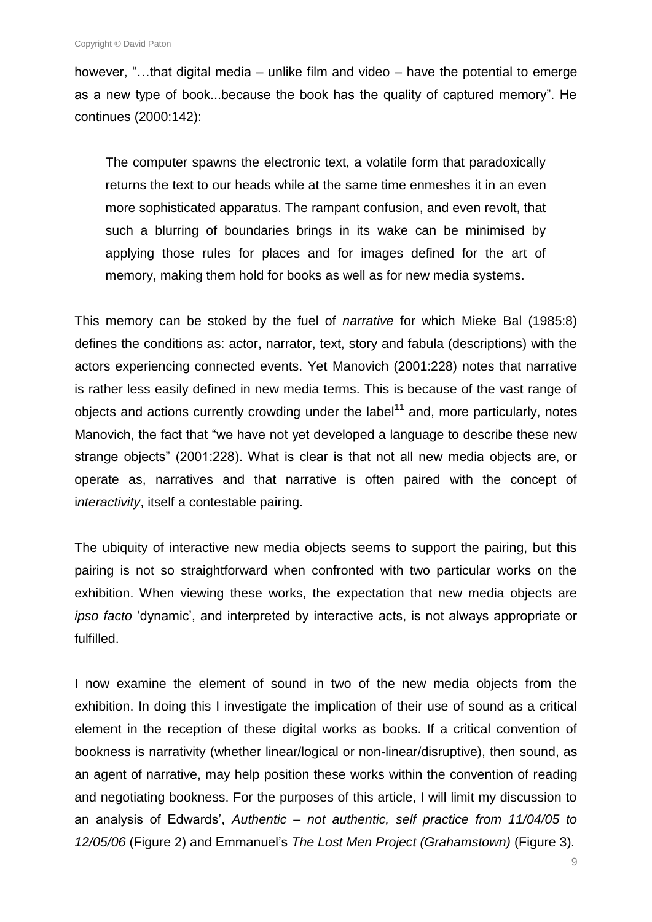however, "…that digital media – unlike film and video – have the potential to emerge as a new type of book...because the book has the quality of captured memory". He continues (2000:142):

The computer spawns the electronic text, a volatile form that paradoxically returns the text to our heads while at the same time enmeshes it in an even more sophisticated apparatus. The rampant confusion, and even revolt, that such a blurring of boundaries brings in its wake can be minimised by applying those rules for places and for images defined for the art of memory, making them hold for books as well as for new media systems.

This memory can be stoked by the fuel of *narrative* for which Mieke Bal (1985:8) defines the conditions as: actor, narrator, text, story and fabula (descriptions) with the actors experiencing connected events. Yet Manovich (2001:228) notes that narrative is rather less easily defined in new media terms. This is because of the vast range of objects and actions currently crowding under the label<sup>11</sup> and, more particularly, notes Manovich, the fact that "we have not yet developed a language to describe these new strange objects" (2001:228). What is clear is that not all new media objects are, or operate as, narratives and that narrative is often paired with the concept of i*nteractivity*, itself a contestable pairing.

The ubiquity of interactive new media objects seems to support the pairing, but this pairing is not so straightforward when confronted with two particular works on the exhibition. When viewing these works, the expectation that new media objects are *ipso facto* "dynamic", and interpreted by interactive acts, is not always appropriate or fulfilled.

I now examine the element of sound in two of the new media objects from the exhibition. In doing this I investigate the implication of their use of sound as a critical element in the reception of these digital works as books. If a critical convention of bookness is narrativity (whether linear/logical or non-linear/disruptive), then sound, as an agent of narrative, may help position these works within the convention of reading and negotiating bookness. For the purposes of this article, I will limit my discussion to an analysis of Edwards", *Authentic – not authentic, self practice from 11/04/05 to 12/05/06* (Figure 2) and Emmanuel"s *The Lost Men Project (Grahamstown)* (Figure 3)*.*

9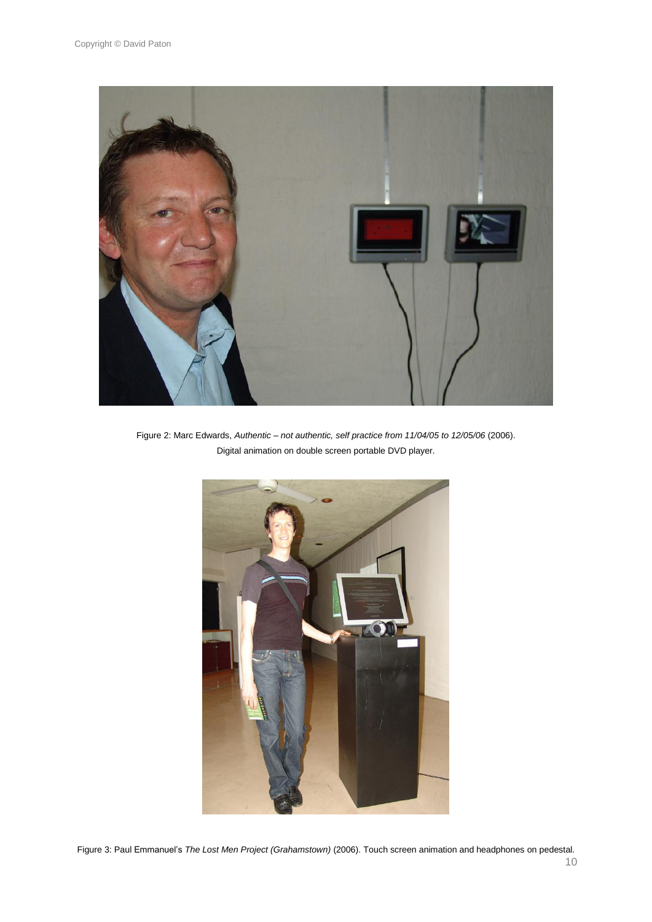

Figure 2: Marc Edwards, *Authentic – not authentic, self practice from 11/04/05 to 12/05/06* (2006). Digital animation on double screen portable DVD player.



Figure 3: Paul Emmanuel"s *The Lost Men Project (Grahamstown)* (2006). Touch screen animation and headphones on pedestal.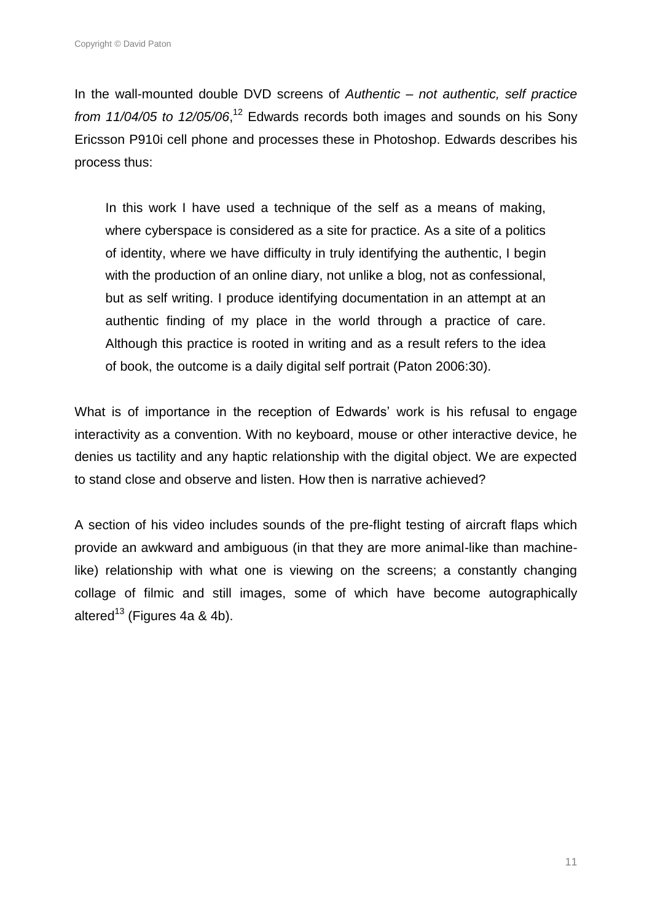In the wall-mounted double DVD screens of *Authentic – not authentic, self practice*  from 11/04/05 to 12/05/06,<sup>12</sup> Edwards records both images and sounds on his Sony Ericsson P910i cell phone and processes these in Photoshop. Edwards describes his process thus:

In this work I have used a technique of the self as a means of making, where cyberspace is considered as a site for practice. As a site of a politics of identity, where we have difficulty in truly identifying the authentic, I begin with the production of an online diary, not unlike a blog, not as confessional, but as self writing. I produce identifying documentation in an attempt at an authentic finding of my place in the world through a practice of care. Although this practice is rooted in writing and as a result refers to the idea of book, the outcome is a daily digital self portrait (Paton 2006:30).

What is of importance in the reception of Edwards' work is his refusal to engage interactivity as a convention. With no keyboard, mouse or other interactive device, he denies us tactility and any haptic relationship with the digital object. We are expected to stand close and observe and listen. How then is narrative achieved?

A section of his video includes sounds of the pre-flight testing of aircraft flaps which provide an awkward and ambiguous (in that they are more animal-like than machinelike) relationship with what one is viewing on the screens; a constantly changing collage of filmic and still images, some of which have become autographically altered<sup>13</sup> (Figures 4a & 4b).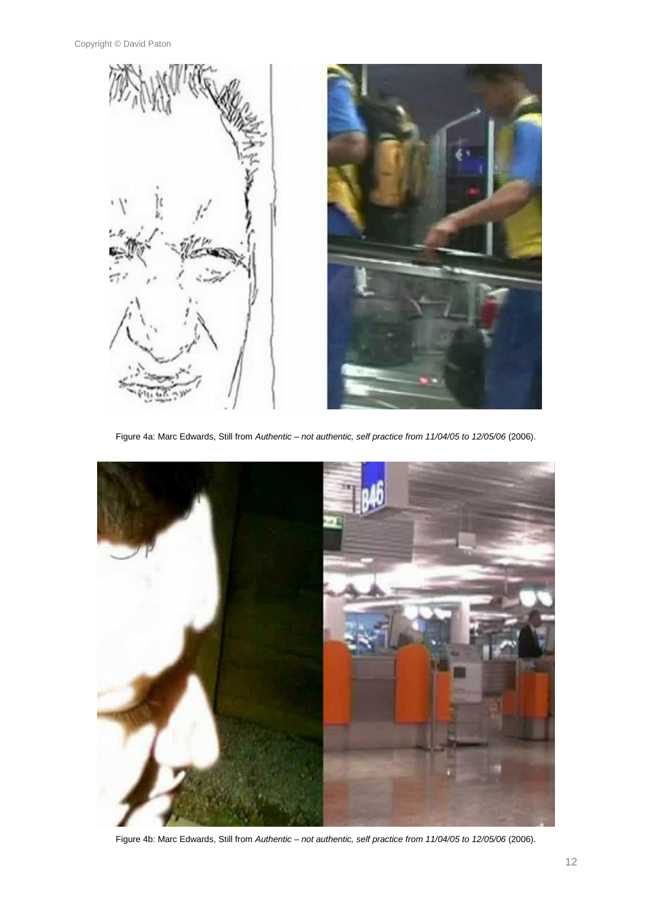

Figure 4a: Marc Edwards, Still from *Authentic – not authentic, self practice from 11/04/05 to 12/05/06* (2006).



Figure 4b: Marc Edwards, Still from *Authentic – not authentic, self practice from 11/04/05 to 12/05/06* (2006).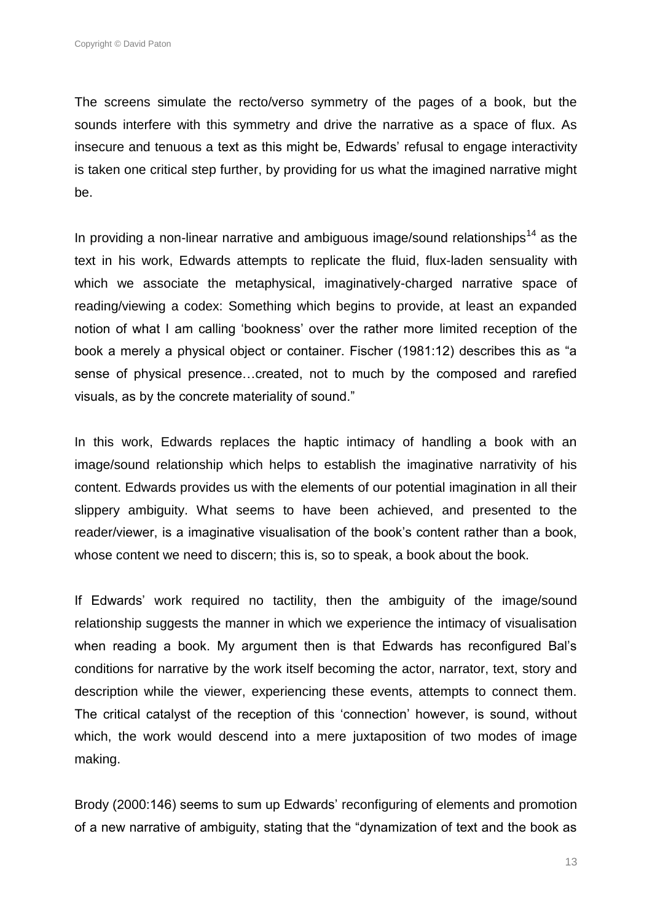The screens simulate the recto/verso symmetry of the pages of a book, but the sounds interfere with this symmetry and drive the narrative as a space of flux. As insecure and tenuous a text as this might be, Edwards' refusal to engage interactivity is taken one critical step further, by providing for us what the imagined narrative might be.

In providing a non-linear narrative and ambiguous image/sound relationships<sup>14</sup> as the text in his work, Edwards attempts to replicate the fluid, flux-laden sensuality with which we associate the metaphysical, imaginatively-charged narrative space of reading/viewing a codex: Something which begins to provide, at least an expanded notion of what I am calling "bookness" over the rather more limited reception of the book a merely a physical object or container. Fischer (1981:12) describes this as "a sense of physical presence…created, not to much by the composed and rarefied visuals, as by the concrete materiality of sound."

In this work, Edwards replaces the haptic intimacy of handling a book with an image/sound relationship which helps to establish the imaginative narrativity of his content. Edwards provides us with the elements of our potential imagination in all their slippery ambiguity. What seems to have been achieved, and presented to the reader/viewer, is a imaginative visualisation of the book"s content rather than a book, whose content we need to discern; this is, so to speak, a book about the book.

If Edwards" work required no tactility, then the ambiguity of the image/sound relationship suggests the manner in which we experience the intimacy of visualisation when reading a book. My argument then is that Edwards has reconfigured Bal's conditions for narrative by the work itself becoming the actor, narrator, text, story and description while the viewer, experiencing these events, attempts to connect them. The critical catalyst of the reception of this "connection" however, is sound, without which, the work would descend into a mere juxtaposition of two modes of image making.

Brody (2000:146) seems to sum up Edwards" reconfiguring of elements and promotion of a new narrative of ambiguity, stating that the "dynamization of text and the book as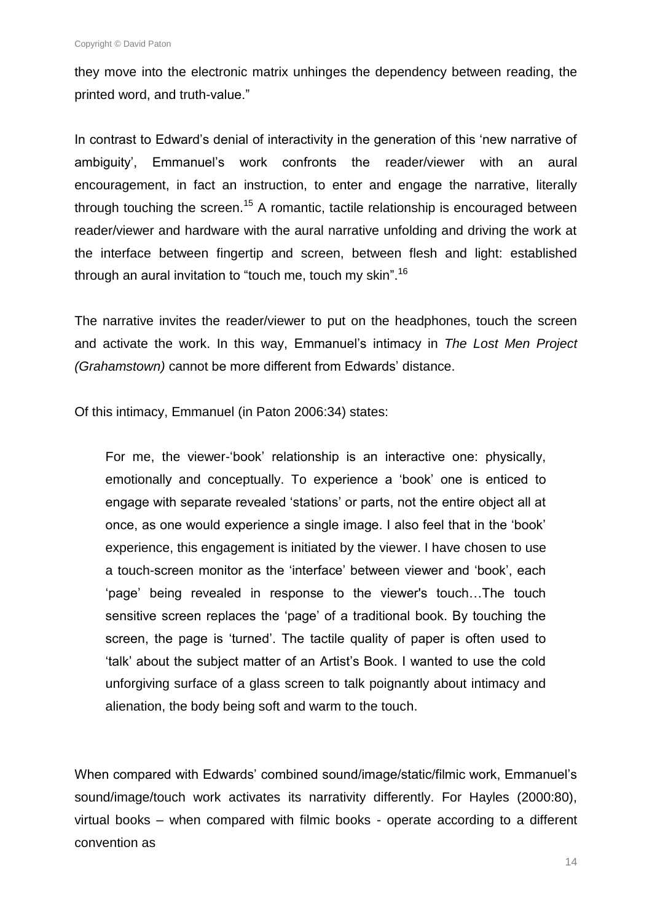they move into the electronic matrix unhinges the dependency between reading, the printed word, and truth-value."

In contrast to Edward"s denial of interactivity in the generation of this "new narrative of ambiguity", Emmanuel"s work confronts the reader/viewer with an aural encouragement, in fact an instruction, to enter and engage the narrative, literally through touching the screen.<sup>15</sup> A romantic, tactile relationship is encouraged between reader/viewer and hardware with the aural narrative unfolding and driving the work at the interface between fingertip and screen, between flesh and light: established through an aural invitation to "touch me, touch my skin".<sup>16</sup>

The narrative invites the reader/viewer to put on the headphones, touch the screen and activate the work. In this way, Emmanuel"s intimacy in *The Lost Men Project (Grahamstown)* cannot be more different from Edwards" distance.

Of this intimacy, Emmanuel (in Paton 2006:34) states:

For me, the viewer-'book' relationship is an interactive one: physically, emotionally and conceptually. To experience a "book" one is enticed to engage with separate revealed "stations" or parts, not the entire object all at once, as one would experience a single image. I also feel that in the "book" experience, this engagement is initiated by the viewer. I have chosen to use a touch-screen monitor as the "interface" between viewer and "book", each "page" being revealed in response to the viewer's touch…The touch sensitive screen replaces the "page" of a traditional book. By touching the screen, the page is "turned". The tactile quality of paper is often used to "talk" about the subject matter of an Artist"s Book. I wanted to use the cold unforgiving surface of a glass screen to talk poignantly about intimacy and alienation, the body being soft and warm to the touch.

When compared with Edwards" combined sound/image/static/filmic work, Emmanuel"s sound/image/touch work activates its narrativity differently. For Hayles (2000:80), virtual books – when compared with filmic books - operate according to a different convention as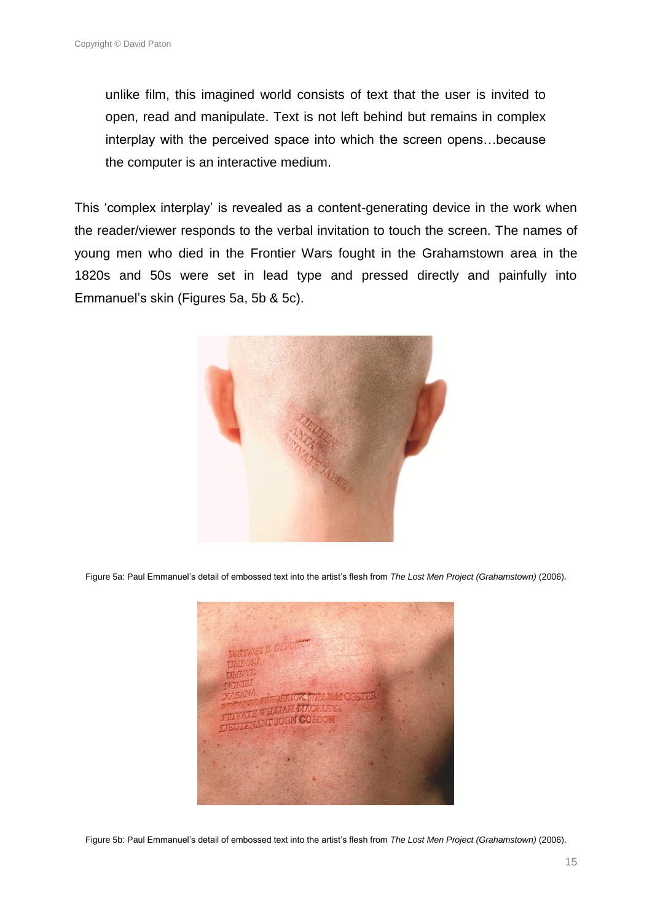unlike film, this imagined world consists of text that the user is invited to open, read and manipulate. Text is not left behind but remains in complex interplay with the perceived space into which the screen opens…because the computer is an interactive medium.

This "complex interplay" is revealed as a content-generating device in the work when the reader/viewer responds to the verbal invitation to touch the screen. The names of young men who died in the Frontier Wars fought in the Grahamstown area in the 1820s and 50s were set in lead type and pressed directly and painfully into Emmanuel"s skin (Figures 5a, 5b & 5c).



Figure 5a: Paul Emmanuel"s detail of embossed text into the artist"s flesh from *The Lost Men Project (Grahamstown)* (2006).



Figure 5b: Paul Emmanuel"s detail of embossed text into the artist"s flesh from *The Lost Men Project (Grahamstown)* (2006).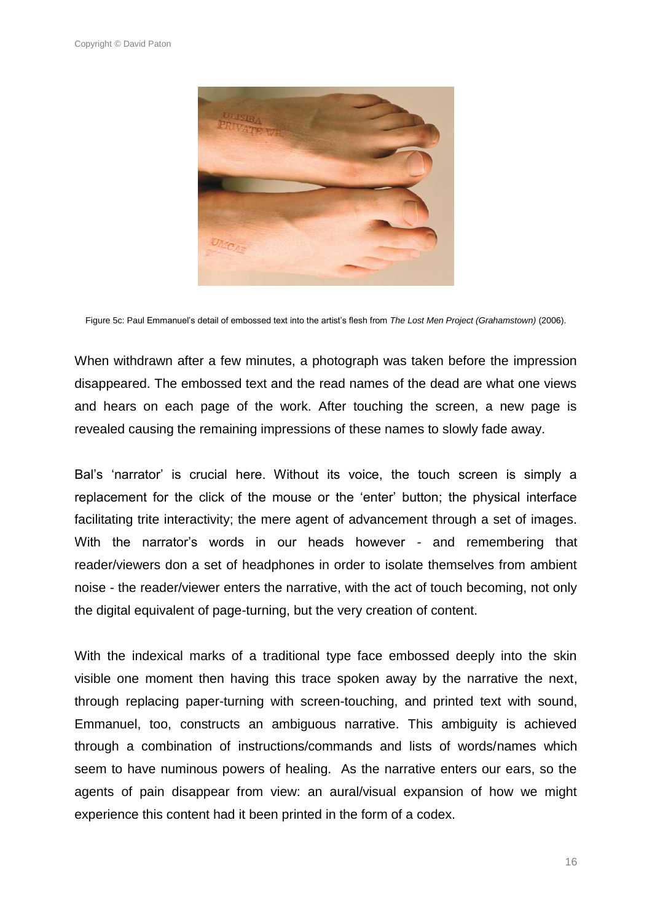

Figure 5c: Paul Emmanuel"s detail of embossed text into the artist"s flesh from *The Lost Men Project (Grahamstown)* (2006).

When withdrawn after a few minutes, a photograph was taken before the impression disappeared. The embossed text and the read names of the dead are what one views and hears on each page of the work. After touching the screen, a new page is revealed causing the remaining impressions of these names to slowly fade away.

Bal's 'narrator' is crucial here. Without its voice, the touch screen is simply a replacement for the click of the mouse or the "enter" button; the physical interface facilitating trite interactivity; the mere agent of advancement through a set of images. With the narrator's words in our heads however - and remembering that reader/viewers don a set of headphones in order to isolate themselves from ambient noise - the reader/viewer enters the narrative, with the act of touch becoming, not only the digital equivalent of page-turning, but the very creation of content.

With the indexical marks of a traditional type face embossed deeply into the skin visible one moment then having this trace spoken away by the narrative the next, through replacing paper-turning with screen-touching, and printed text with sound, Emmanuel, too, constructs an ambiguous narrative. This ambiguity is achieved through a combination of instructions/commands and lists of words/names which seem to have numinous powers of healing. As the narrative enters our ears, so the agents of pain disappear from view: an aural/visual expansion of how we might experience this content had it been printed in the form of a codex.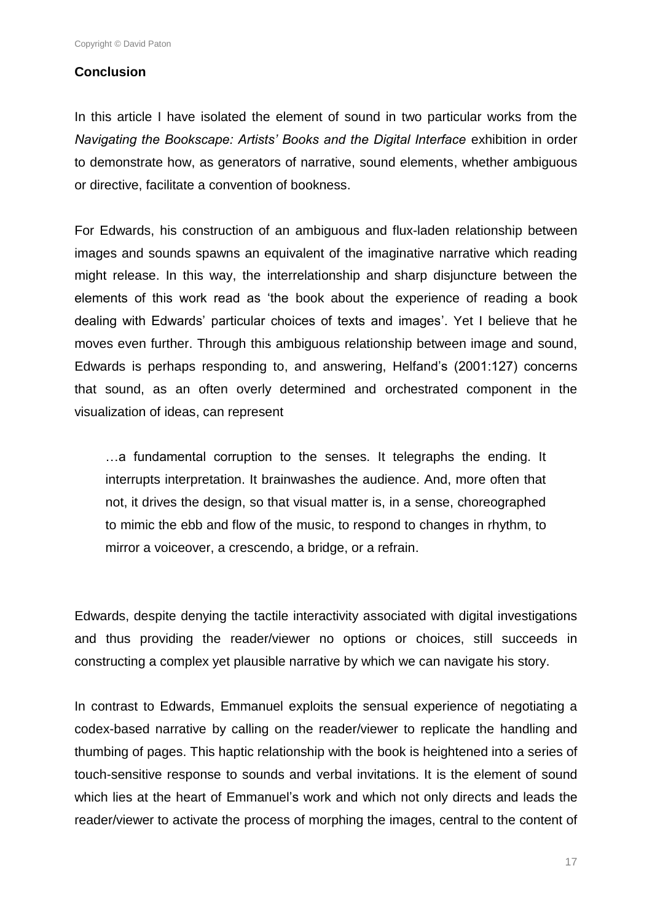#### **Conclusion**

In this article I have isolated the element of sound in two particular works from the *Navigating the Bookscape: Artists' Books and the Digital Interface* exhibition in order to demonstrate how, as generators of narrative, sound elements, whether ambiguous or directive, facilitate a convention of bookness.

For Edwards, his construction of an ambiguous and flux-laden relationship between images and sounds spawns an equivalent of the imaginative narrative which reading might release. In this way, the interrelationship and sharp disjuncture between the elements of this work read as "the book about the experience of reading a book dealing with Edwards' particular choices of texts and images'. Yet I believe that he moves even further. Through this ambiguous relationship between image and sound, Edwards is perhaps responding to, and answering, Helfand"s (2001:127) concerns that sound, as an often overly determined and orchestrated component in the visualization of ideas, can represent

…a fundamental corruption to the senses. It telegraphs the ending. It interrupts interpretation. It brainwashes the audience. And, more often that not, it drives the design, so that visual matter is, in a sense, choreographed to mimic the ebb and flow of the music, to respond to changes in rhythm, to mirror a voiceover, a crescendo, a bridge, or a refrain.

Edwards, despite denying the tactile interactivity associated with digital investigations and thus providing the reader/viewer no options or choices, still succeeds in constructing a complex yet plausible narrative by which we can navigate his story.

In contrast to Edwards, Emmanuel exploits the sensual experience of negotiating a codex-based narrative by calling on the reader/viewer to replicate the handling and thumbing of pages. This haptic relationship with the book is heightened into a series of touch-sensitive response to sounds and verbal invitations. It is the element of sound which lies at the heart of Emmanuel's work and which not only directs and leads the reader/viewer to activate the process of morphing the images, central to the content of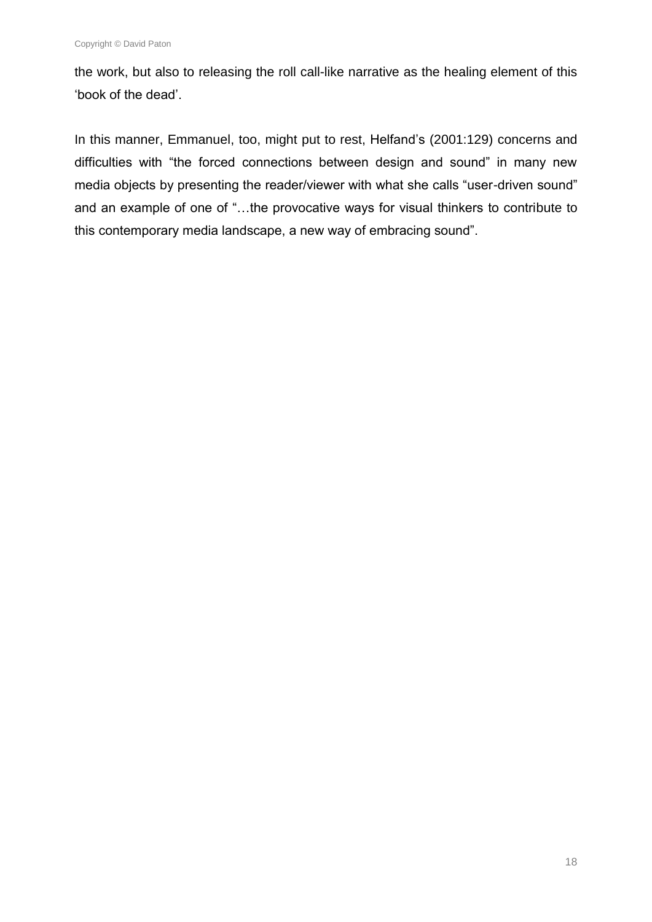the work, but also to releasing the roll call-like narrative as the healing element of this "book of the dead".

In this manner, Emmanuel, too, might put to rest, Helfand"s (2001:129) concerns and difficulties with "the forced connections between design and sound" in many new media objects by presenting the reader/viewer with what she calls "user-driven sound" and an example of one of "…the provocative ways for visual thinkers to contribute to this contemporary media landscape, a new way of embracing sound".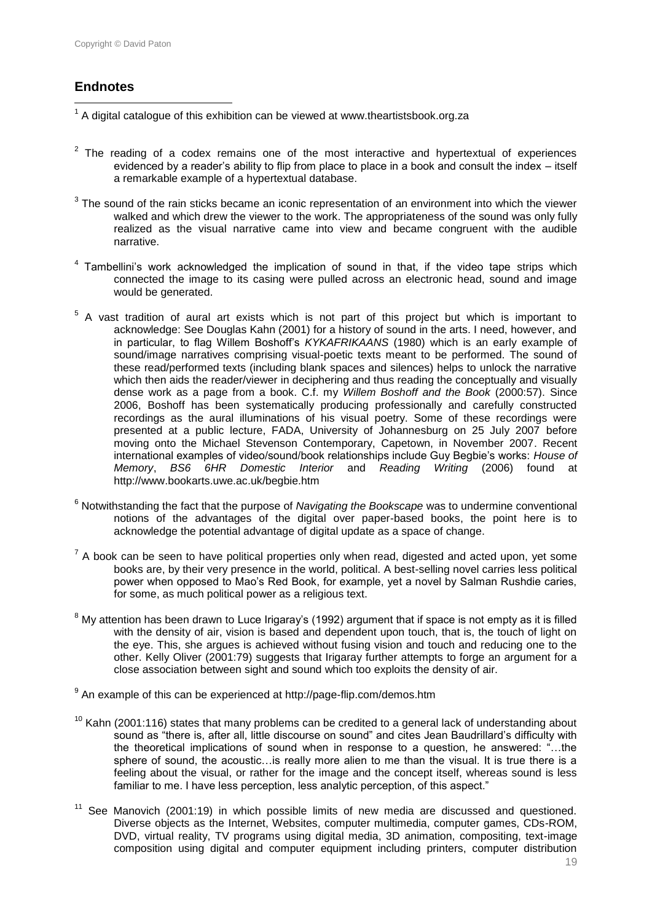## **Endnotes**

 $\overline{a}$ 

 $1$  A digital catalogue of this exhibition can be viewed at www.theartistsbook.org.za

- $2$  The reading of a codex remains one of the most interactive and hypertextual of experiences evidenced by a reader's ability to flip from place to place in a book and consult the index – itself a remarkable example of a hypertextual database.
- $3$  The sound of the rain sticks became an iconic representation of an environment into which the viewer walked and which drew the viewer to the work. The appropriateness of the sound was only fully realized as the visual narrative came into view and became congruent with the audible narrative.
- <sup>4</sup> Tambellini's work acknowledged the implication of sound in that, if the video tape strips which connected the image to its casing were pulled across an electronic head, sound and image would be generated.
- $5$  A vast tradition of aural art exists which is not part of this project but which is important to acknowledge: See Douglas Kahn (2001) for a history of sound in the arts. I need, however, and in particular, to flag Willem Boshoff"s *KYKAFRIKAANS* (1980) which is an early example of sound/image narratives comprising visual-poetic texts meant to be performed. The sound of these read/performed texts (including blank spaces and silences) helps to unlock the narrative which then aids the reader/viewer in deciphering and thus reading the conceptually and visually dense work as a page from a book. C.f. my *Willem Boshoff and the Book* (2000:57). Since 2006, Boshoff has been systematically producing professionally and carefully constructed recordings as the aural illuminations of his visual poetry. Some of these recordings were presented at a public lecture, FADA, University of Johannesburg on 25 July 2007 before moving onto the Michael Stevenson Contemporary, Capetown, in November 2007. Recent international examples of video/sound/book relationships include Guy Begbie's works: *House of Memory*. BS6 6HR Domestic Interior and Reading Writing (2006) found at *Memory*, *BS6 6HR Domestic Interior* and *Reading Writing* (2006) found at http://www.bookarts.uwe.ac.uk/begbie.htm
- <sup>6</sup> Notwithstanding the fact that the purpose of *Navigating the Bookscape* was to undermine conventional notions of the advantages of the digital over paper-based books, the point here is to acknowledge the potential advantage of digital update as a space of change.
- $7$  A book can be seen to have political properties only when read, digested and acted upon, yet some books are, by their very presence in the world, political. A best-selling novel carries less political power when opposed to Mao"s Red Book, for example, yet a novel by Salman Rushdie caries, for some, as much political power as a religious text.
- $8$  My attention has been drawn to Luce Irigaray's (1992) argument that if space is not empty as it is filled with the density of air, vision is based and dependent upon touch, that is, the touch of light on the eye. This, she argues is achieved without fusing vision and touch and reducing one to the other. Kelly Oliver (2001:79) suggests that Irigaray further attempts to forge an argument for a close association between sight and sound which too exploits the density of air.

<sup>9</sup> An example of this can be experienced at http://page-flip.com/demos.htm

- $10$  Kahn (2001:116) states that many problems can be credited to a general lack of understanding about sound as "there is, after all, little discourse on sound" and cites Jean Baudrillard's difficulty with the theoretical implications of sound when in response to a question, he answered: "…the sphere of sound, the acoustic…is really more alien to me than the visual. It is true there is a feeling about the visual, or rather for the image and the concept itself, whereas sound is less familiar to me. I have less perception, less analytic perception, of this aspect."
- $11$  See Manovich (2001:19) in which possible limits of new media are discussed and questioned. Diverse objects as the Internet, Websites, computer multimedia, computer games, CDs-ROM, DVD, virtual reality, TV programs using digital media, 3D animation, compositing, text-image composition using digital and computer equipment including printers, computer distribution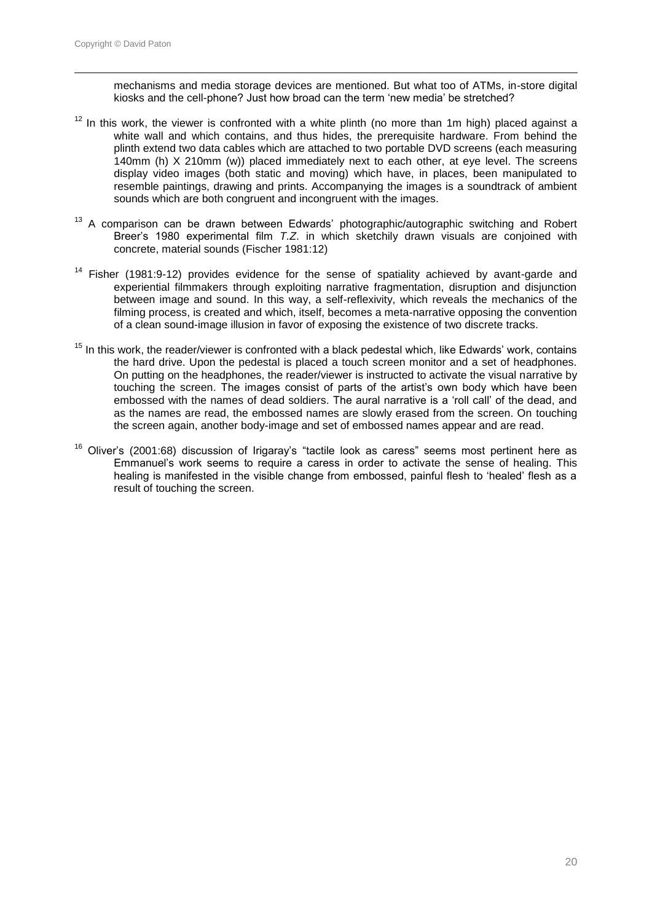$\overline{a}$ 

mechanisms and media storage devices are mentioned. But what too of ATMs, in-store digital kiosks and the cell-phone? Just how broad can the term "new media" be stretched?

- $12$  In this work, the viewer is confronted with a white plinth (no more than 1m high) placed against a white wall and which contains, and thus hides, the prerequisite hardware. From behind the plinth extend two data cables which are attached to two portable DVD screens (each measuring 140mm (h) X 210mm (w)) placed immediately next to each other, at eye level. The screens display video images (both static and moving) which have, in places, been manipulated to resemble paintings, drawing and prints. Accompanying the images is a soundtrack of ambient sounds which are both congruent and incongruent with the images.
- $13$  A comparison can be drawn between Edwards' photographic/autographic switching and Robert Breer"s 1980 experimental film *T.Z*. in which sketchily drawn visuals are conjoined with concrete, material sounds (Fischer 1981:12)
- <sup>14</sup> Fisher (1981:9-12) provides evidence for the sense of spatiality achieved by avant-garde and experiential filmmakers through exploiting narrative fragmentation, disruption and disjunction between image and sound. In this way, a self-reflexivity, which reveals the mechanics of the filming process, is created and which, itself, becomes a meta-narrative opposing the convention of a clean sound-image illusion in favor of exposing the existence of two discrete tracks.
- $15$  In this work, the reader/viewer is confronted with a black pedestal which, like Edwards' work, contains the hard drive. Upon the pedestal is placed a touch screen monitor and a set of headphones. On putting on the headphones, the reader/viewer is instructed to activate the visual narrative by touching the screen. The images consist of parts of the artist"s own body which have been embossed with the names of dead soldiers. The aural narrative is a "roll call" of the dead, and as the names are read, the embossed names are slowly erased from the screen. On touching the screen again, another body-image and set of embossed names appear and are read.
- <sup>16</sup> Oliver's (2001:68) discussion of Irigaray's "tactile look as caress" seems most pertinent here as Emmanuel"s work seems to require a caress in order to activate the sense of healing. This healing is manifested in the visible change from embossed, painful flesh to "healed" flesh as a result of touching the screen.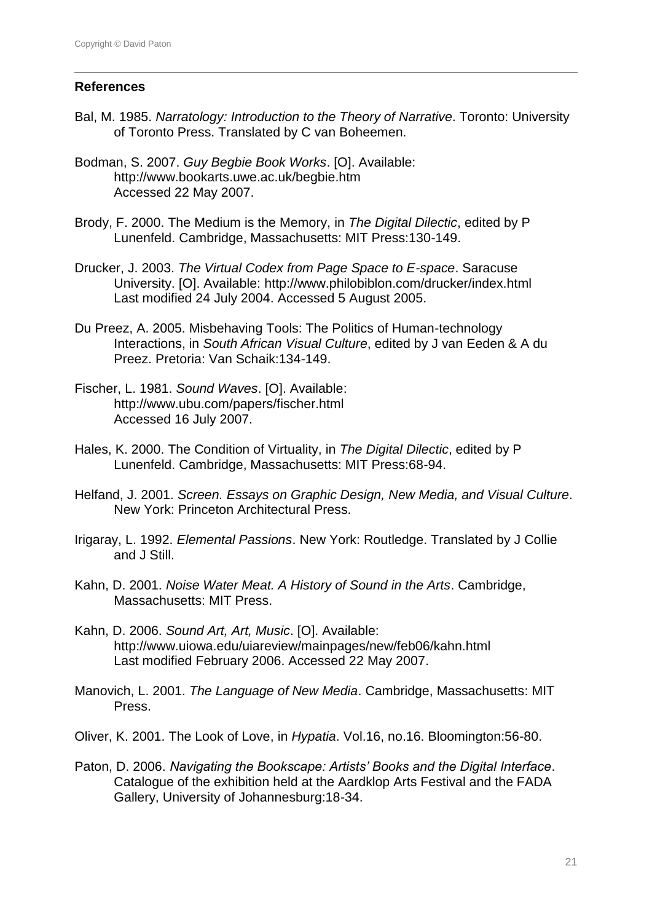#### **References**

 $\overline{a}$ 

- Bal, M. 1985. *Narratology: Introduction to the Theory of Narrative*. Toronto: University of Toronto Press. Translated by C van Boheemen.
- Bodman, S. 2007. *Guy Begbie Book Works*. [O]. Available: http://www.bookarts.uwe.ac.uk/begbie.htm Accessed 22 May 2007.
- Brody, F. 2000. The Medium is the Memory, in *The Digital Dilectic*, edited by P Lunenfeld. Cambridge, Massachusetts: MIT Press:130-149.
- Drucker, J. 2003. *The Virtual Codex from Page Space to E-space*. Saracuse University. [O]. Available: http://www.philobiblon.com/drucker/index.html Last modified 24 July 2004. Accessed 5 August 2005.
- Du Preez, A. 2005. Misbehaving Tools: The Politics of Human-technology Interactions, in *South African Visual Culture*, edited by J van Eeden & A du Preez. Pretoria: Van Schaik:134-149.
- Fischer, L. 1981. *Sound Waves*. [O]. Available: http://www.ubu.com/papers/fischer.html Accessed 16 July 2007.
- Hales, K. 2000. The Condition of Virtuality, in *The Digital Dilectic*, edited by P Lunenfeld. Cambridge, Massachusetts: MIT Press:68-94.
- Helfand, J. 2001. *Screen. Essays on Graphic Design, New Media, and Visual Culture*. New York: Princeton Architectural Press.
- Irigaray, L. 1992. *Elemental Passions*. New York: Routledge. Translated by J Collie and J Still.
- Kahn, D. 2001. *Noise Water Meat. A History of Sound in the Arts*. Cambridge, Massachusetts: MIT Press.
- Kahn, D. 2006. *Sound Art, Art, Music*. [O]. Available: http://www.uiowa.edu/uiareview/mainpages/new/feb06/kahn.html Last modified February 2006. Accessed 22 May 2007.
- Manovich, L. 2001. *The Language of New Media*. Cambridge, Massachusetts: MIT Press.
- Oliver, K. 2001. The Look of Love, in *Hypatia*. Vol.16, no.16. Bloomington:56-80.
- Paton, D. 2006. *Navigating the Bookscape: Artists' Books and the Digital Interface*. Catalogue of the exhibition held at the Aardklop Arts Festival and the FADA Gallery, University of Johannesburg:18-34.